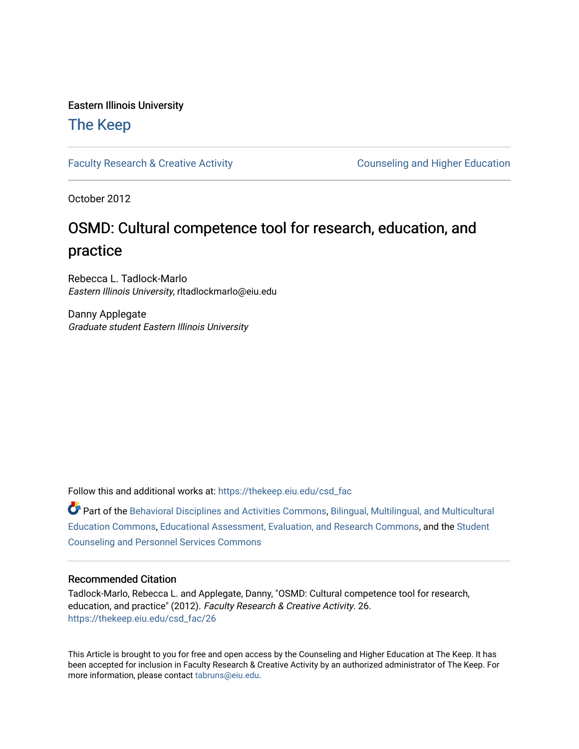#### Eastern Illinois University

#### [The Keep](https://thekeep.eiu.edu/)

[Faculty Research & Creative Activity](https://thekeep.eiu.edu/csd_fac) **Counseling and Higher Education** 

October 2012

#### OSMD: Cultural competence tool for research, education, and practice

Rebecca L. Tadlock-Marlo Eastern Illinois University, rltadlockmarlo@eiu.edu

Danny Applegate Graduate student Eastern Illinois University

Follow this and additional works at: [https://thekeep.eiu.edu/csd\\_fac](https://thekeep.eiu.edu/csd_fac?utm_source=thekeep.eiu.edu%2Fcsd_fac%2F26&utm_medium=PDF&utm_campaign=PDFCoverPages)

Part of the [Behavioral Disciplines and Activities Commons](http://network.bepress.com/hgg/discipline/980?utm_source=thekeep.eiu.edu%2Fcsd_fac%2F26&utm_medium=PDF&utm_campaign=PDFCoverPages), [Bilingual, Multilingual, and Multicultural](http://network.bepress.com/hgg/discipline/785?utm_source=thekeep.eiu.edu%2Fcsd_fac%2F26&utm_medium=PDF&utm_campaign=PDFCoverPages)  [Education Commons,](http://network.bepress.com/hgg/discipline/785?utm_source=thekeep.eiu.edu%2Fcsd_fac%2F26&utm_medium=PDF&utm_campaign=PDFCoverPages) [Educational Assessment, Evaluation, and Research Commons](http://network.bepress.com/hgg/discipline/796?utm_source=thekeep.eiu.edu%2Fcsd_fac%2F26&utm_medium=PDF&utm_campaign=PDFCoverPages), and the [Student](http://network.bepress.com/hgg/discipline/802?utm_source=thekeep.eiu.edu%2Fcsd_fac%2F26&utm_medium=PDF&utm_campaign=PDFCoverPages)  [Counseling and Personnel Services Commons](http://network.bepress.com/hgg/discipline/802?utm_source=thekeep.eiu.edu%2Fcsd_fac%2F26&utm_medium=PDF&utm_campaign=PDFCoverPages) 

#### Recommended Citation

Tadlock-Marlo, Rebecca L. and Applegate, Danny, "OSMD: Cultural competence tool for research, education, and practice" (2012). Faculty Research & Creative Activity. 26. [https://thekeep.eiu.edu/csd\\_fac/26](https://thekeep.eiu.edu/csd_fac/26?utm_source=thekeep.eiu.edu%2Fcsd_fac%2F26&utm_medium=PDF&utm_campaign=PDFCoverPages) 

This Article is brought to you for free and open access by the Counseling and Higher Education at The Keep. It has been accepted for inclusion in Faculty Research & Creative Activity by an authorized administrator of The Keep. For more information, please contact [tabruns@eiu.edu](mailto:tabruns@eiu.edu).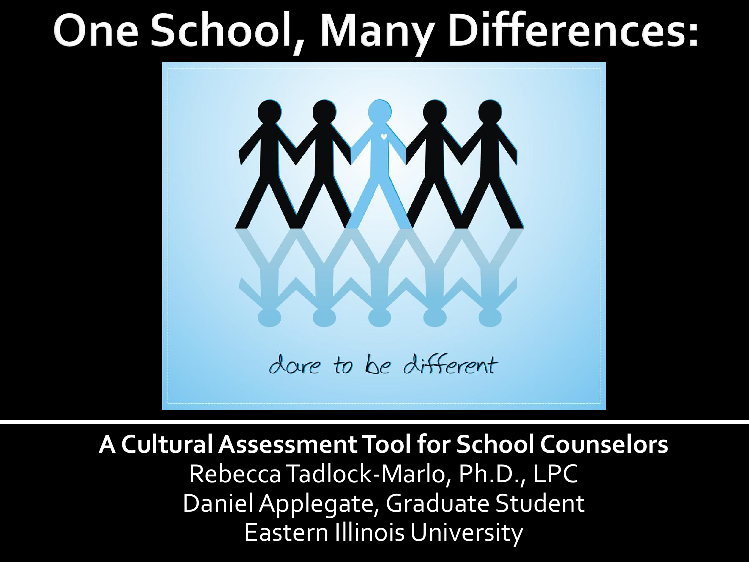## **One School, Many Differences:**



**A Cultural Assessment Tool for School Counselors** Rebecca Tadlock-Marlo, Ph.D., LPC Daniel Applegate, Graduate Student Eastern Illinois University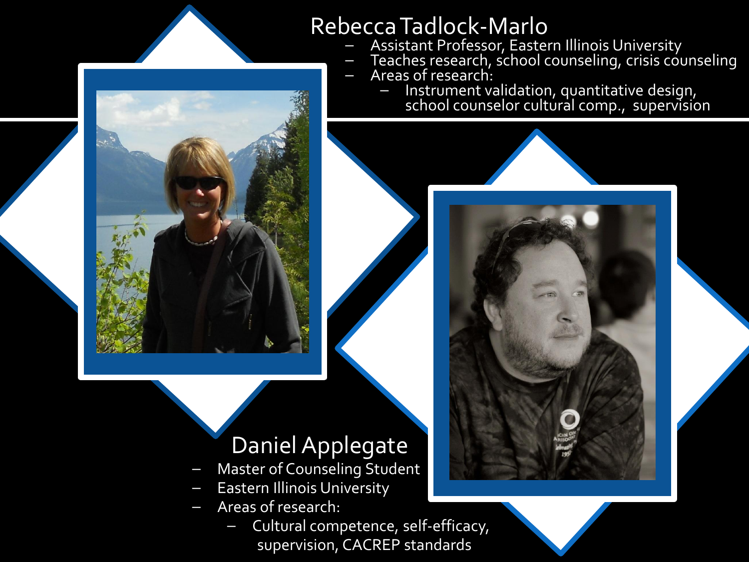#### Rebecca Tadlock-Marlo

- Assistant Professor, Eastern Illinois University
- $\,$  Teaches research, school counseling, crisis counseling
- Areas of research:
	- Instrument validation, quantitative design, school counselor cultural comp., supervision



- Master of Counseling Student
- **Eastern Illinois University**
- Areas of research:
	- Cultural competence, self-efficacy, supervision, CACREP standards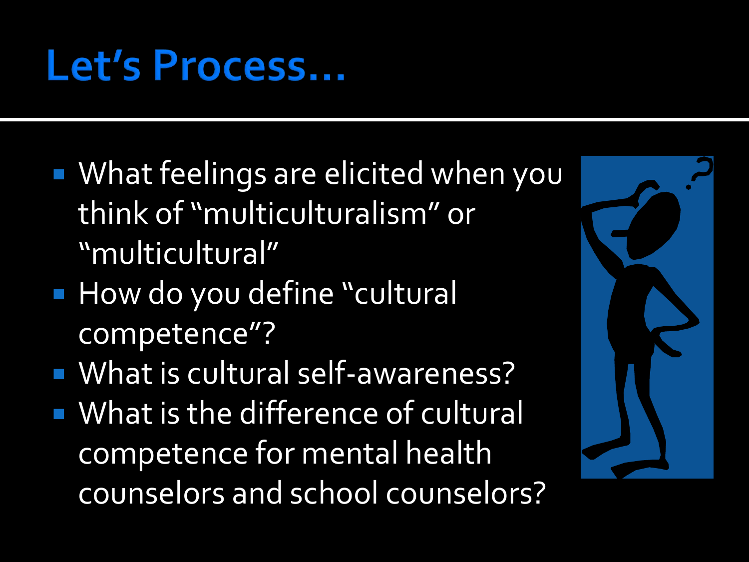## Let's Process...

- What feelings are elicited when you think of "multiculturalism" or "multicultural"
- **How do you define "cultural** competence"?
- **What is cultural self-awareness?**
- **What is the difference of cultural** competence for mental health counselors and school counselors?

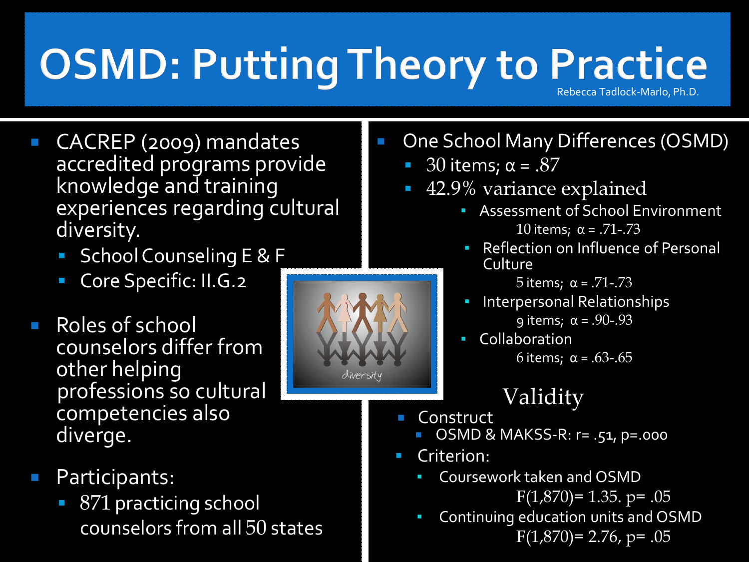### **OSMD: Putting Theory to Practice** Rebecca Tadlock-Marlo, Ph.D.

 CACREP (2009) mandates accredited programs provide knowledge and training experiences regarding cultural diversity.

- School Counseling E & F
- Core Specific: II.G.2
- Roles of school counselors differ from other helping professions so cultural competencies also diverge.
- Participants:
	- 871 practicing school counselors from all 50 states
- One School Many Differences (OSMD)
	- 30 items;  $\alpha$  = .87
	- 42.9% variance explained
		- Assessment of School Environment 10 items;  $α = .71-.73$
		- **Reflection on Influence of Personal Culture**

5 items; α = .71-.73

- Interpersonal Relationships  $9$  items;  $\alpha = .90-.93$
- Collaboration 6 items; α = .63-.65

### Validity

- **Construct** 
	- OSMD & MAKSS-R: r= .51, p=.000
- Criterion:
	- Coursework taken and OSMD  $F(1,870) = 1.35.$  p= .05
	- Continuing education units and OSMD  $F(1,870) = 2.76$ , p= .05

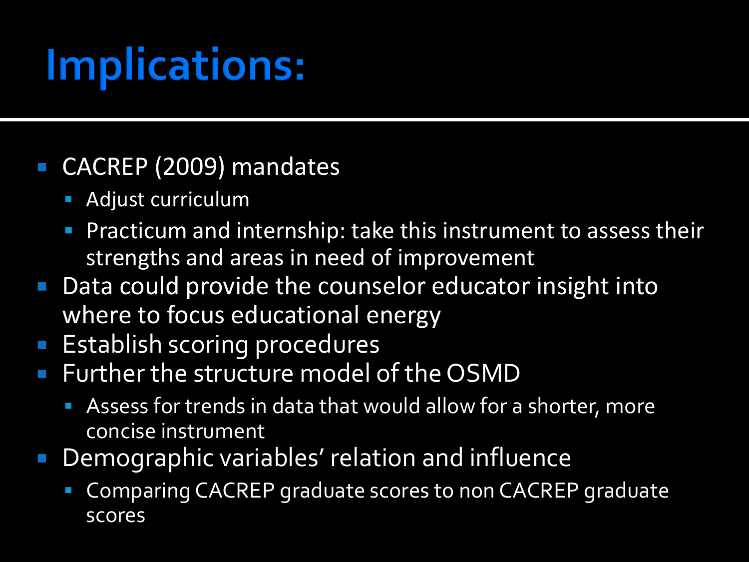# **Implications:**

### ■ CACREP (2009) mandates

- **Adjust curriculum**
- **Practicum and internship: take this instrument to assess their** strengths and areas in need of improvement
- Data could provide the counselor educator insight into where to focus educational energy
- **Establish scoring procedures**
- **Further the structure model of the OSMD** 
	- Assess for trends in data that would allow for a shorter, more concise instrument
- Demographic variables' relation and influence
	- Comparing CACREP graduate scores to non CACREP graduate scores